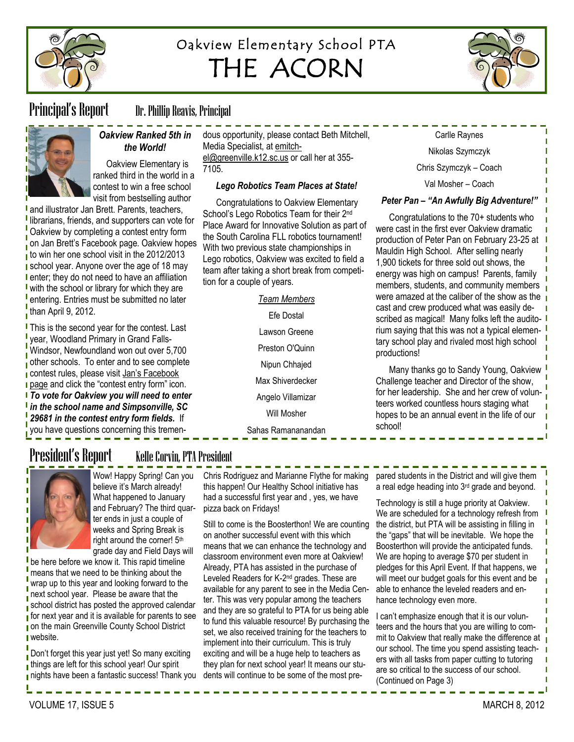

# Oakview Elementary School PTA THE ACORN



Principal's Report Dr. Phillip Reavis, Principal



### *Oakview Ranked 5th in the World!*

Oakview Elementary is ranked third in the world in a contest to win a free school visit from bestselling author

and illustrator Jan Brett. Parents, teachers, librarians, friends, and supporters can vote for Oakview by completing a contest entry form on Jan Brett's Facebook page. Oakview hopes  $\overline{\phantom{a}}$  to win her one school visit in the 2012/2013 school year. Anyone over the age of 18 may **I** enter; they do not need to have an affiliation with the school or library for which they are **I** entering. Entries must be submitted no later than April 9, 2012.

**This is the second year for the contest. Last** year, Woodland Primary in Grand Falls-Windsor, Newfoundland won out over 5,700 other schools. To enter and to see complete contest rules, please visit [Jan's Facebook](https://www.facebook.com/byjanbrett)  **[page](https://www.facebook.com/byjanbrett) and click the "contest entry form" icon.** *To vote for Oakview you will need to enter* 

*in the school name and Simpsonville, SC 29681 in the contest entry form fields.* If you have questions concerning this tremendous opportunity, please contact Beth Mitchell, Media Specialist, at [emitch](mailto:emitchel@greenville.k12.sc.us)[el@greenville.k12.sc.us](mailto:emitchel@greenville.k12.sc.us) or call her at 355- 7105.

### *Lego Robotics Team Places at State!*

Congratulations to Oakview Elementary School's Lego Robotics Team for their 2<sup>nd</sup> Place Award for Innovative Solution as part of the South Carolina FLL robotics tournament! With two previous state championships in Lego robotics, Oakview was excited to field a team after taking a short break from competition for a couple of years.

*Team Members*

Efe Dostal

Lawson Greene

Preston O'Quinn

Nipun Chhajed

Max Shiverdecker

Angelo Villamizar

Will Mosher

Sahas Ramananandan

Nikolas Szymczyk Chris Szymczyk – Coach

Carlle Raynes

Val Mosher – Coach

### *Peter Pan – "An Awfully Big Adventure!"*

Congratulations to the 70+ students who were cast in the first ever Oakview dramatic production of Peter Pan on February 23-25 at Mauldin High School. After selling nearly 1,900 tickets for three sold out shows, the energy was high on campus! Parents, family members, students, and community members were amazed at the caliber of the show as the cast and crew produced what was easily described as magical! Many folks left the auditorium saying that this was not a typical elementary school play and rivaled most high school productions!

Many thanks go to Sandy Young, Oakview Challenge teacher and Director of the show, for her leadership. She and her crew of volunteers worked countless hours staging what hopes to be an annual event in the life of our school!

# President's Report Kelle Corvin, PTA President



Wow! Happy Spring! Can you believe it's March already! What happened to January and February? The third quarter ends in just a couple of weeks and Spring Break is right around the corner! 5th grade day and Field Days will

be here before we know it. This rapid timeline means that we need to be thinking about the wrap up to this year and looking forward to the next school year. Please be aware that the school district has posted the approved calendar  $\overline{\phantom{a}}$  for next vear and it is available for parents to see **n** on the main Greenville County School District **website.** 

Don't forget this year just yet! So many exciting things are left for this school year! Our spirit nights have been a fantastic success! Thank you

Chris Rodriguez and Marianne Flythe for making this happen! Our Healthy School initiative has had a successful first year and , yes, we have pizza back on Fridays!

Still to come is the Boosterthon! We are counting on another successful event with this which means that we can enhance the technology and classroom environment even more at Oakview! Already, PTA has assisted in the purchase of Leveled Readers for K-2<sup>nd</sup> grades. These are available for any parent to see in the Media Center. This was very popular among the teachers and they are so grateful to PTA for us being able to fund this valuable resource! By purchasing the set, we also received training for the teachers to implement into their curriculum. This is truly exciting and will be a huge help to teachers as they plan for next school year! It means our students will continue to be some of the most pre-

pared students in the District and will give them a real edge heading into 3rd grade and beyond.

Technology is still a huge priority at Oakview. We are scheduled for a technology refresh from the district, but PTA will be assisting in filling in the "gaps" that will be inevitable. We hope the Boosterthon will provide the anticipated funds. We are hoping to average \$70 per student in pledges for this April Event. If that happens, we will meet our budget goals for this event and be able to enhance the leveled readers and enhance technology even more.

I can't emphasize enough that it is our volunteers and the hours that you are willing to commit to Oakview that really make the difference at  $\mathbf{I}$ our school. The time you spend assisting teachers with all tasks from paper cutting to tutoring are so critical to the success of our school. (Continued on Page 3)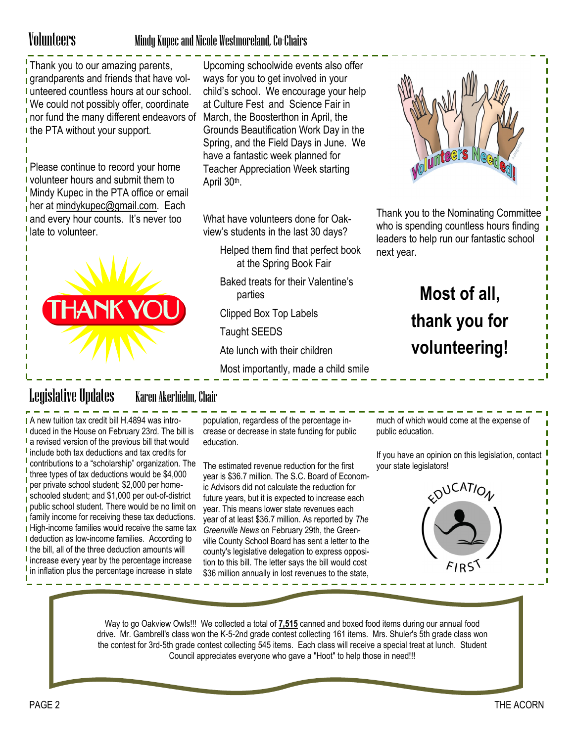### Volunteers Mindy Kupec and Nicole Westmoreland, Co-Chairs

Thank you to our amazing parents, **i** grandparents and friends that have volunteered countless hours at our school. We could not possibly offer, coordinate nor fund the many different endeavors of I the PTA without your support.

Please continue to record your home volunteer hours and submit them to Mindy Kupec in the PTA office or email  $\frac{1}{1}$  her at [mindykupec@gmail.com.](mailto:mindykupec@gmail.com) Each I and every hour counts. It's never too late to volunteer.



Upcoming schoolwide events also offer ways for you to get involved in your child's school. We encourage your help at Culture Fest and Science Fair in March, the Boosterthon in April, the Grounds Beautification Work Day in the Spring, and the Field Days in June. We have a fantastic week planned for Teacher Appreciation Week starting April 30<sup>th</sup>.

What have volunteers done for Oakview's students in the last 30 days?

- Helped them find that perfect book at the Spring Book Fair
- Baked treats for their Valentine's parties

Clipped Box Top Labels

Taught SEEDS

Ate lunch with their children

Most importantly, made a child smile



Thank you to the Nominating Committee who is spending countless hours finding leaders to help run our fantastic school next year.

# **Most of all, thank you for volunteering!**

# Legislative Updates Karen Akerhielm, Chair

A new tuition tax credit bill H.4894 was intro-I duced in the House on February 23rd. The bill is **I** a revised version of the previous bill that would **i** include both tax deductions and tax credits for contributions to a "scholarship" organization. The three types of tax deductions would be \$4,000 per private school student; \$2,000 per homeschooled student; and \$1,000 per out-of-district public school student. There would be no limit on **family income for receiving these tax deductions. High-income families would receive the same tax I** deduction as low-income families. According to I the bill, all of the three deduction amounts will I increase every year by the percentage increase I in inflation plus the percentage increase in state

population, regardless of the percentage increase or decrease in state funding for public education.

The estimated revenue reduction for the first year is \$36.7 million. The S.C. Board of Economic Advisors did not calculate the reduction for future years, but it is expected to increase each year. This means lower state revenues each year of at least \$36.7 million. As reported by *The Greenville News* on February 29th, the Greenville County School Board has sent a letter to the county's legislative delegation to express opposition to this bill. The letter says the bill would cost \$36 million annually in lost revenues to the state,

much of which would come at the expense of public education.

If you have an opinion on this legislation, contact your state legislators!



Way to go Oakview Owls!!! We collected a total of **7,515** canned and boxed food items during our annual food drive. Mr. Gambrell's class won the K-5-2nd grade contest collecting 161 items. Mrs. Shuler's 5th grade class won the contest for 3rd-5th grade contest collecting 545 items. Each class will receive a special treat at lunch. Student Council appreciates everyone who gave a "Hoot" to help those in need!!!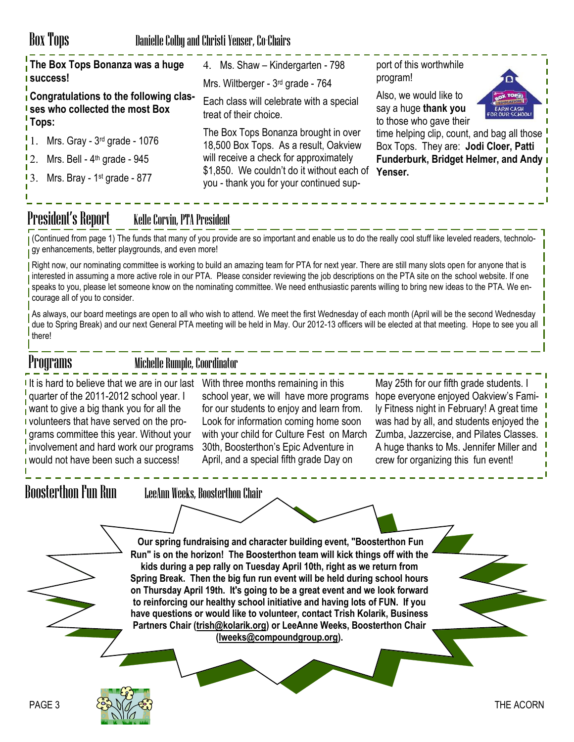### Box Tops Danielle Colby and Christi Yenser, Co-Chairs

| The Box Tops Bonanza was a huge<br><mark>I</mark> success!                           | 4. Ms. Shaw - Kindergarten - 798<br>Mrs. Wiltberger - 3rd grade - 764                                                           | port of this worthwhile<br>program!<br>םו                                                                             |
|--------------------------------------------------------------------------------------|---------------------------------------------------------------------------------------------------------------------------------|-----------------------------------------------------------------------------------------------------------------------|
| Congratulations to the following clas-<br>I ses who collected the most Box<br>'Tops: | Each class will celebrate with a special<br>treat of their choice.                                                              | Also, we would like to<br>BOX TOPS<br>say a huge thank you<br>EARN CASH<br>FOR OUR SCHOOL!<br>to those who gave their |
| $\frac{1}{2}$ 1. Mrs. Gray - 3 <sup>rd</sup> grade - 1076                            | The Box Tops Bonanza brought in over<br>18,500 Box Tops. As a result, Oakview                                                   | time helping clip, count, and bag all those<br>Box Tops. They are: Jodi Cloer, Patti                                  |
| $12.$ Mrs. Bell - $4th$ grade - 945                                                  | will receive a check for approximately<br>\$1,850. We couldn't do it without each of<br>you - thank you for your continued sup- | <b>Funderburk, Bridget Helmer, and Andy I</b><br>Yenser.                                                              |
| 13. Mrs. Bray - 1 <sup>st</sup> grade - 877                                          |                                                                                                                                 |                                                                                                                       |

## President's Report Kelle Corvin, PTA President

(Continued from page 1) The funds that many of you provide are so important and enable us to do the really cool stuff like leveled readers, technology enhancements, better playgrounds, and even more!

Right now, our nominating committee is working to build an amazing team for PTA for next year. There are still many slots open for anyone that is interested in assuming a more active role in our PTA. Please consider reviewing the job descriptions on the PTA site on the school website. If one speaks to you, please let someone know on the nominating committee. We need enthusiastic parents willing to bring new ideas to the PTA. We encourage all of you to consider.

As always, our board meetings are open to all who wish to attend. We meet the first Wednesday of each month (April will be the second Wednesday due to Spring Break) and our next General PTA meeting will be held in May. Our 2012-13 officers will be elected at that meeting. Hope to see you all there!

### Programs Michelle Rumple, Coordinator

If is hard to believe that we are in our last quarter of the 2011-2012 school year. I want to give a big thank you for all the **v** volunteers that have served on the programs committee this year. Without your involvement and hard work our programs **would not have been such a success!** 

With three months remaining in this school year, we will have more programs hope everyone enjoyed Oakview's Famifor our students to enjoy and learn from. Look for information coming home soon with your child for Culture Fest on March 30th, Boosterthon's Epic Adventure in April, and a special fifth grade Day on

May 25th for our fifth grade students. I ly Fitness night in February! A great time was had by all, and students enjoyed the Zumba, Jazzercise, and Pilates Classes. A huge thanks to Ms. Jennifer Miller and crew for organizing this fun event!

Boosterthon Fun Run LeeAnn Weeks, Boosterthon Chair

**Our spring fundraising and character building event, "Boosterthon Fun Run" is on the horizon! The Boosterthon team will kick things off with the kids during a pep rally on Tuesday April 10th, right as we return from Spring Break. Then the big fun run event will be held during school hours on Thursday April 19th. It's going to be a great event and we look forward to reinforcing our healthy school initiative and having lots of FUN. If you have questions or would like to volunteer, contact Trish Kolarik, Business Partners Chair ([trish@kolarik.org\)](mailto:trish@kolarik.org) or LeeAnne Weeks, Boosterthon Chair [\(lweeks@compoundgroup.org\).](mailto:lweeks@compoundgroup.org)**